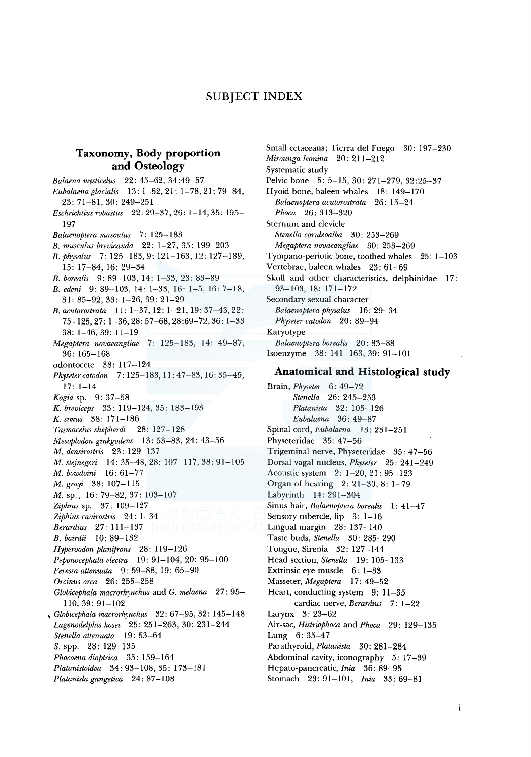# SUBJECT INDEX

## **Taxonomy, Body proportion and Osteology**

*Balaena mysticelus* 22: 45-62, 34 :49-57 *Eubalaenaglacialis* 13: 1-52,21: 1-78,21: 79-84, 23: 71-81, 30: 249-251 *Eschrichtiusrobustus* 22: 29-37, 26: 1-14, 35: 195- 197 *Balaenoptera musculus* 7: 125-183 *B. musculus brevicauda* 22: 1-27, 35: 199-203 *B. physalus* 7: 125-183, 9: 121-163, 12: 127-189, 15: 17-84, 16: 29-34 *B. borealis* 9: 89-103, 14: 1-33, 23: 83-89 *B. edeni* 9: 89-103, 14: 1-33, 16: 1-5, 16: 7-18, 31: 85-92, 33: 1-26, 39: 21-29 *B.acutorostrata* 11: 1-37, 12: 1-21, 19:37-43,22: 75-125,27: 1-36,28:57-68,28:69-72,36: 1-33 38: 1-46, 39: 11-19 *Megaptera novaeangliae* 7: 125-183, 14: 49-87, 36: 165-168 odontocete 38: 117-124 *Physetercatodon* 7: 125-183, 11: 47-83, 16: 35-45, 17: 1-14 *Kogia* sp. 9: 37-58 K. *breviceps* 33: 119-124, 35: 183-193 K. *simus* 38: 171-186 *Tasmacelus shepherdi* 28: 127-128 *Mesoplodon ginkgodens* 13: 53-83, 24: 43-56 *M. densirostris* 23: 129-137 *M. stejnegeri* 14: 35-48, 28: 107-117, 38: 91-105 *M. bowdoini* 16: 61-77 *M. grayi* 38: 107-115 M. sp., 16: 79-82, 37: 103-107 *Ziphiussp.* 37: 109-127 *Ziphius cavirostris* 24: 1-34 *Berardius* 27: 111-137 *B. bairdii* 10: 89-132 *Hyperoodon planifrons* 28: 119-126 *Peponocephala electra* 19: 91-104, 20: 95-100 *Feressa attenuata* 9: 59-88, 19: 65-90 *Orcinus orca* 26: 255-258 *Globicephala macrorhynchus* and G. *melaena* 27: 95- 110, 39: 91-102 , *Globicephala macrorhynchus* 32: 67-95, 32: 145-148 *Lagenodelphis hosei* 25: 251-263, 30: 231-244 *Stenella attenuata* 19: 53-64 S. spp. 28: 129-135 *Phocoena dioptrica* 35: 159-164 *Platanistoidea* 34: 93-108, 35: 173-181 *Platanisla gangetica* 24: 87-108

Small cetaceans; Tierra de! Fuego 30: 197-230 *Mirounga leonina* 20: 211-212 Systematic study Pelvic bone 5: 5-15, 30: 271-279, 32:25-37 Hyoid bone, baleen whales 18: 149-170 *Balaenoptera acutorostrata* 26: 15-24 *Phoca* 26: 313-320 Sternum and clevicle *Stenella coruleoalba* 30: 253-269 *Megaptera novaeangliae* 30: 253-269 Tympano-periotic bone, toothed whales 25: 1-103 Vertebrae, baleen whales 23: 61-69 Skull and other characteristics, delphinidae 17: 93-103, 18: 171-172 Secondary sexual character *Balaenoptera physalus* 16: 29-34 *Physeter catodon* 20: 89-94 Karyotype *Balaenoptera borealis* 20: 83-88 Isoenzyme 38: 141-163, 39: 91-101

## **Anatomical and Histological study**

Brain, *Physeter* 6: 49-72 *Stenella* 26: 245-253 *Platanista* 32: 105-126 *Eubalaena* 36: 49-87 Spinal cord, *Eubalaena* 13: 231-251 Physeteridae 35: 47-56 Trigeminal nerve, Physeteridae 35: 47-56 Dorsal vagal nucleus, *Physeter* 25: 241-249 Acoustic system 2: 1-20, 21: 95-123 Organ of hearing 2: 21-30, 8: 1-79 Labyrinth 14: 291-304 Sinus hair, *Balaenoptera borealis* 1: 41-47 Sensory tubercle, lip 3: 1-16 Lingual margin 28: 137-140 Taste buds, *Stenella* 30: 285-290 Tongue, Sirenia 32: 127-144 Head section, *Stene/la* 19: 105-133 Extrinsic eye muscle 6: 1-33 Masseter, *Megaptera* 17: 49-52 Heart, conducting system 9: 11-35 cardiac nerve, *Berardius* 7: 1-22 Larynx 3: 23-62 Air-sac, *Histriophoca* and *Phoca* 29: 129-135 Lung 6: 35-47 Parathyroid, *Platanista* 30: 281-284 Abdominal cavity, iconography 5: 17-39 Hepato-pancreatic, *lnia* 36: 89-95 Stomach 23: 91-101, *Inia* 33: 69-81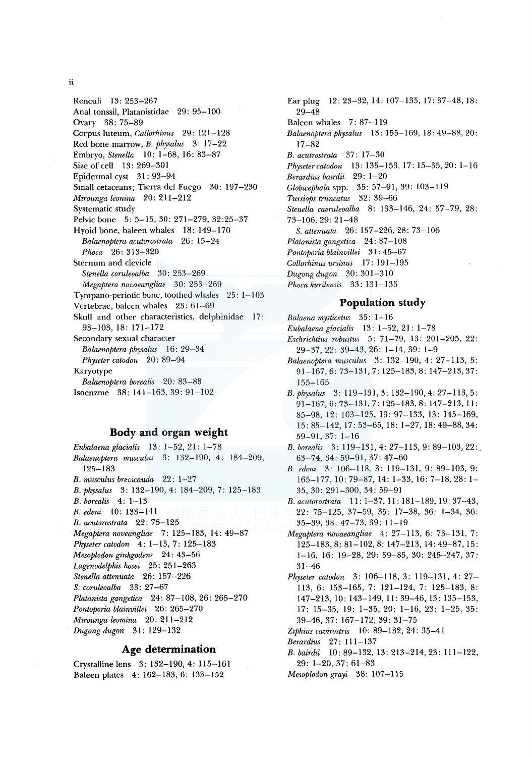Renculi 13: 253-267 Anal tonssil, Platanistidae 29: 95-100 Ovary 38: 75-89 Corpus luteum, *Callorhinus* 29: 121-128 Red bone marrow, *B. physalus* 3: 17-22 Embryo, *Stenella* 10: 1-68, 16: 83-87 Size of cell 13: 269-301 Epidermal cyst 31: 93-94 Small cetaceans; Tierra de! Fuego 30: 197-230 *Mirounga leonina* 20: 211-212 Systematic study Pelvic bone 5: 5-15, 30: 271-279, 32:25-37 Hyoid bone, baleen whales 18: 149-170 *Balaenoptera acutorostrata* 26: 15-24 *Phoca* 26: 313-320 Sternum and clevicle *Stenella coruleoalba* 30: 253-269 *Megaptera novaeangliae* 30: 253-269 Tympano-periotic bone, toothed whales 25: 1-103 Vertebrae, baleen whales 23: 61-69 Skull and other characteristics, delphinidae 17: 93-103, 18: 171-172 Secondary sexual character *Balaenoptera physalus* 16: 29-34 *Physeter catodon* 20: 89-94 Karyotype *Balaenoptera borealis* 20: 83-88 Isoenzme 38: 141-163, 39: 91-102

### **Body and organ weight**

*Eubalaenaglacialis* 13: 1-52, 21: 1-78 *Balaenoptera musculus* 3: 132-190, 4: 184-209, 125-183 *B. musculus brevicauda* 22: 1-27 *B. physalus* 3: 132-190, 4: 184-209, 7: 125-183 *B. borealis* 4: 1-13 *B. edeni* 10: 133-141 *B. acutorostrata* 22: 75-125 *Megaptera noveangliae* 7: 125-183, 14: 49-87 *Physeter catodon* 4: 1-13, 7: 125-183 *Mesoplodon ginkgodens* 24: 43-56 *Lagenodelphis hosei* 25: 251-263 *Stenella attenuata* 26: 157-226 *S. coruleoalba* 33: 27-67 *Platanista gangetica* 24: 87-108, 26: 265-270 *Pontoporia blainvillei* 26: 265-270 *Mirounga leomina* 20: 211-212 *Dugong dugon* 31: 129-132

## **Age determination**

Crystalline lens 3: 132-190, 4: 115-161 Baleen plates 4: 162-183, 6: 133-152

Ear plug 12: 23-32, 14: 107-135, 17: 37-48, 18: 29-48 Baleen whales 7: 87-119 *Balaenopteraphysalus* 13: 155-169, 18: 49-88, 20: 17-82 *B. acutrostrata* 37: 17-30 *Physetercatodon* 13: 135-153, 17: 15-35, 20: 1-16 *Berardius bairdii* 29: 1-20 *Globicephala* spp. 35: 57-91, 39: 103-119 *Tursiops truncatus* 32: 39-66 *Stene/la caeruleoalba* 8: 133-146, 24: 57-79, 28: 73-106, 29: 21-48 *S. attenuata* 26: 157-226, 28: 73-106 *Platanistagangetica* 24: 87-108 *Pontoporia blainvillei* 31: 45-67 *Collorhinus ursinus* 17: 191-195 *Dugong dugon* 30: 301-310 *Phoca kurilensis* 33: 131-135

#### **Population study**

*Balaena mysticetus* 35: 1-16

- *Eubalaenaglacialis* 13: 1-52, 21: 1-78
- *Eschrichtius robustus* 5: 71-79, 13: 201-205, 22: 29-37, 22: 39-43, 26: 1-14, 39: 1-9
- *Balaenoptera musculus* 3: 132-190, 4: 27-113, 5: 91-167,6: 73-131,7: 125-183,8: 147-213,37: 155-165
- *B. physalus* 3: 119-131, 3: 132-190, 4: 27-113, 5: 91-167, 6: 73-131, 7: 125-183, 8: 147-213, 11: 85-98, 12: 103-125, 13: 97-133, 13: 145-169, 15: 85-142, 17:53-65, 18: 1-27, 18:49-88,34: 59-91, 37: 1-16
- *B. borealis* 3: 119-131, 4: 27-113, 9: 89-103, 22:. 63-74, 34: 59-91, 37: 47-60
- *B. edeni* 3: 106-118, 3: 119-131, *9:* 89-103, *9:*  165-177, 10: 79-87, 14: 1-33, 16: 7-18, 28: 1- 35, 30: 291-300, 34: 59-91
- *B. acutorostrata* 11: 1-37, 11: 181-189, 19: 37-43, 22: 75-125, 37-59, 35: 17-38, 36: 1-34, 36: 35-39, 38: 47-73, 39: 11-19
- *Megaptera novaeangliae* 4: 27-113, 6: 73-131, 7: 125-183,8:81-102,8: 147-213, 14:49-87, 15: 1-16, 16: 19-28, 29: 59-85, 30: 245-247, 37: 31-46
- *Physeter catodon* 3: 106-118, 3: 119-131, 4: 27- 113, 6: 153-165, 7: 121-124, 7: 125-183, 8: 147-213, 10: 143-149, 11: 39-46, 13: 135-153, 17: 15-35, 19: 1-35, 20: 1-16, 23: 1-25, 35: 39-46, 37: 167-172, 39: 31-75
- *Ziphius cavirostris* 10: 89-132, 24: 35-41
- *Berardius* 27: 111-137
- *B. bairdii* 10: 89-132, 13: 213-214, 23: 111-122, 29: 1-20, 37: 61-83
- *Mesoplodon grayi* 38: 107-115

ii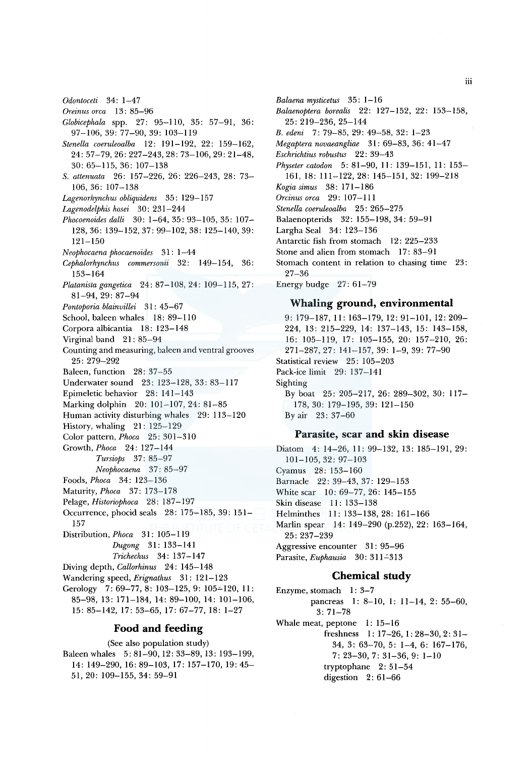- *Oreinus orca* 13 : 85-96 *Globicephala* spp. 27: 95-110, 35: 57-91, 36:
- 97-106, 39: 77-90, 39: 103-119
- *Stenella coeruleoalba* 12: 191-192, 22: 159-162, 24: 57-79,26:227-243,28: 73-106,29: 21-48, 30: 65-115, 36: 107-138
- *S. attenuata* 26: 157-226, 26: 226-243, 28: 73- 106, 36: 107-138
- Lagenorhynchus obliquidens 35: 129-157
- *Lagenodelphis hosei* 30: 231-244
- *Phocoenoides dalli* 30: 1-64, 35: 93-105, 35: 107- 128, 36: 139-152, 37: 99-102, 38: 125-140, 39: 121-150
- *Neophocaena phocaenoides* 31: 1-44
- *Cephalorhynchus commersonii* 32: 149-154, 36: 153-164
- *Platanistagangetica* 24: 87-108, 24: 109-115, 27: 81-94,29: 87-94
- *Pontoporia blainvillei* 31 : 45-67
- School, baleen whales 18: 89-110
- Corpora albicantia 18: 123-148
- Virginal band 21: 85-94
- Counting and measuring, baleen and ventral grooves 25: 279-292
- Baleen, function 28: 37-55
- Underwater sound 23: 123-128, 33: 83-117
- Epimeletic behavior 28: 141-143
- Marking dolphin 20: 101-107, 24: 81-85
- Human activity disturbing whales 29: 113-120
- History, whaling 21: 125-129
- Color pattern, *Phoca* 25: 301-310
- Growth, *Phoca* 24: 127-144
	- *Tursiops* 37: 85-97 *Neophocaena* 37: 85-97
- Foods, *Phoca* 34: 123-136
- Maturity, *Phoca* 37: 173-178
- Pelage, *Historiophoca* 28: 187-197
- Occurrence, phocid seals 28: 175-185, 39: 151-
- 157
- Distribution, *Phoca* 31: 105-119 *Dugong* 31: 133-141 *Trichechus* 34: 137-147
- Diving depth, *Callorhinus* 24: 145-148
- Wandering speed, *Erignathus* 31: 121-123
- Gerology 7: 69-77, 8: 103-125, 9: 105-120, 11: 85-98, 13: 171-184, 14: 89-100, 14: 101-106,
- 15: 85-142, 17: 53-65, 17: 67-77, 18: 1-27

## **Food and feeding**

(See also population study) Baleen whales 5: 81-90, 12: 33-89, 13: 193-199, 14: 149-290, 16: 89-103, 17: 157-170, 19: 45-51, 20: 109-155, 34: 59-91

- *Balaena mysticetus* 35 : 1-16 *Balaenoptera borealis* 22: 127-152, 22: 153-158, 25: 219-236, 25-144 *B. edeni* 7: 79-85, 29: 49-58, 32: 1-23 *Megaptera novaeangliae* 31: 69-83, 36: 41-47 *Eschrichtius robustus* 22: 39-43 *Physeter catodon* 5: 81-90, 11: 139-151, 11: 153- 161, 18: 111-122, 28: 145-151, 32: 199-218 *Kogia simus* 38: 171-186 *Orcinus area* 29: 107-111 *Stenella coeruleoalba* 25: 265-275 Balaenopterids 32: 155-198, 34: 59-91 Largha Seal 34: 123-136 Antarctic fish from stomach 12: 225-233
- Stone and alien from stomach 17: 83-91 Stomach content in relation to chasing time 23:
- 27-36
- Energy budge 27: 61-79

#### **Whaling ground, environmental**

9: 179-187, 11: 163-179, 12: 91-101, 12: 209- 224, 13: 215-229, 14: 137-143, 15: 143-158, 16: 105-119, 17: 105-155, 20: 157-210, 26: 271-287,27: 141-157, 39: 1-9, 39: 77-90 Statistical review 25: 105-203 Pack-ice limit 29: 137-141 Sighting By boat 25: 205-217, 26: 289-302, 30: 117- 178, 30: 179-195, 39: 121-150 By air 23: 37-60

#### **Parasite, scar and skin disease**

Diatom 4: 14-26, 11: 99-132, 13: 185-191, 29: 101-105,32: 97-103 Cyamus 28: 153-160 Barnacle 22: 39-43, 37: 129-153 White scar 10: 69-77, 26: 145-155 Skin disease 11: 133-138 Helminthes 11: 133-138, 28: 161-166 Marlin spear 14: 149-290 (p.252), 22: 163-164, 25: 237-239 Aggressive encounter 31: 95-96 Parasite, *Euphausia* 30: 311–313

#### **Chemical study**

Enzyme, stomach  $1: 3-7$ pancreas 1: 8-10, 1: 11-14, 2: 55-60, 3: 71-78 Whale meat, peptone  $1: 15-16$ freshness I: 17-26, I: 28-30, 2: 31- 34, 3: 63-70, 5: 1-4, 6: 167-176,  $7: 23-30, 7: 31-36, 9: 1-10$ tryptophane 2: 51-54 digestion 2: 61-66